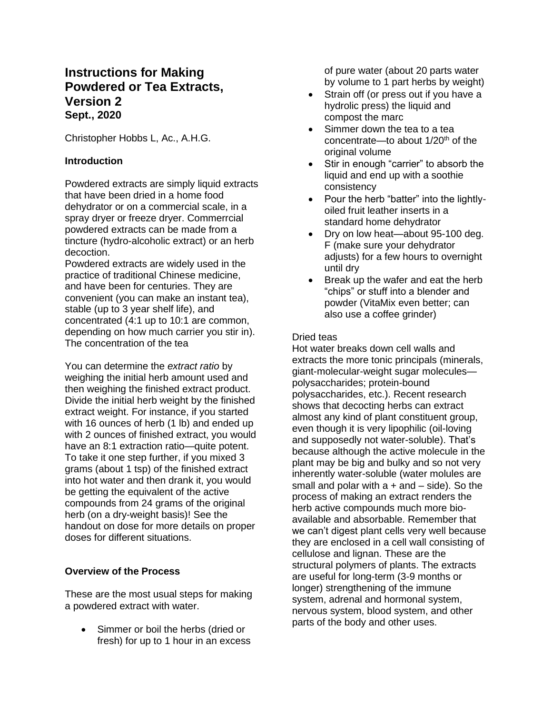# **Instructions for Making Powdered or Tea Extracts, Version 2 Sept., 2020**

Christopher Hobbs L, Ac., A.H.G.

# **Introduction**

Powdered extracts are simply liquid extracts that have been dried in a home food dehydrator or on a commercial scale, in a spray dryer or freeze dryer. Commerrcial powdered extracts can be made from a tincture (hydro-alcoholic extract) or an herb decoction.

Powdered extracts are widely used in the practice of traditional Chinese medicine, and have been for centuries. They are convenient (you can make an instant tea), stable (up to 3 year shelf life), and concentrated (4:1 up to 10:1 are common, depending on how much carrier you stir in). The concentration of the tea

You can determine the *extract ratio* by weighing the initial herb amount used and then weighing the finished extract product. Divide the initial herb weight by the finished extract weight. For instance, if you started with 16 ounces of herb (1 lb) and ended up with 2 ounces of finished extract, you would have an 8:1 extraction ratio—quite potent. To take it one step further, if you mixed 3 grams (about 1 tsp) of the finished extract into hot water and then drank it, you would be getting the equivalent of the active compounds from 24 grams of the original herb (on a dry-weight basis)! See the handout on dose for more details on proper doses for different situations.

# **Overview of the Process**

These are the most usual steps for making a powdered extract with water.

• Simmer or boil the herbs (dried or fresh) for up to 1 hour in an excess of pure water (about 20 parts water by volume to 1 part herbs by weight)

- Strain off (or press out if you have a hydrolic press) the liquid and compost the marc
- Simmer down the tea to a tea concentrate—to about  $1/20<sup>th</sup>$  of the original volume
- Stir in enough "carrier" to absorb the liquid and end up with a soothie consistency
- Pour the herb "batter" into the lightlyoiled fruit leather inserts in a standard home dehydrator
- Dry on low heat—about 95-100 deg. F (make sure your dehydrator adjusts) for a few hours to overnight until dry
- Break up the wafer and eat the herb "chips" or stuff into a blender and powder (VitaMix even better; can also use a coffee grinder)

# Dried teas

Hot water breaks down cell walls and extracts the more tonic principals (minerals, giant-molecular-weight sugar molecules polysaccharides; protein-bound polysaccharides, etc.). Recent research shows that decocting herbs can extract almost any kind of plant constituent group, even though it is very lipophilic (oil-loving and supposedly not water-soluble). That's because although the active molecule in the plant may be big and bulky and so not very inherently water-soluble (water molules are small and polar with  $a + and - side$ ). So the process of making an extract renders the herb active compounds much more bioavailable and absorbable. Remember that we can't digest plant cells very well because they are enclosed in a cell wall consisting of cellulose and lignan. These are the structural polymers of plants. The extracts are useful for long-term (3-9 months or longer) strengthening of the immune system, adrenal and hormonal system, nervous system, blood system, and other parts of the body and other uses.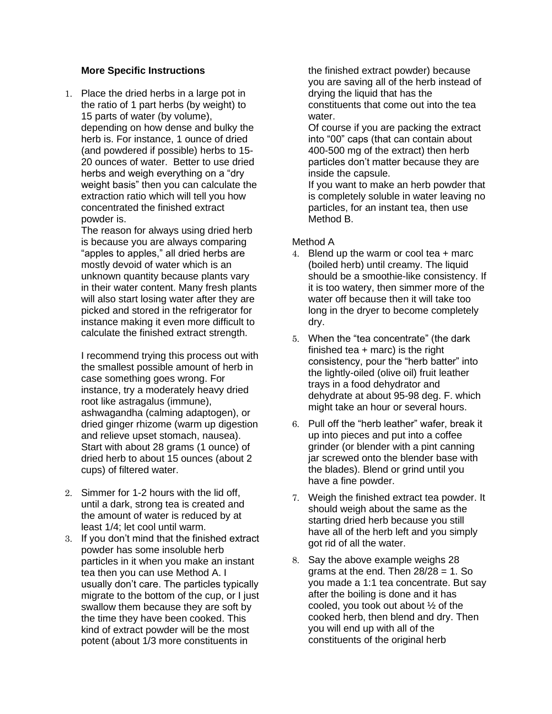## **More Specific Instructions**

1. Place the dried herbs in a large pot in the ratio of 1 part herbs (by weight) to 15 parts of water (by volume), depending on how dense and bulky the herb is. For instance, 1 ounce of dried (and powdered if possible) herbs to 15- 20 ounces of water. Better to use dried herbs and weigh everything on a "dry weight basis" then you can calculate the extraction ratio which will tell you how concentrated the finished extract powder is.

The reason for always using dried herb is because you are always comparing "apples to apples," all dried herbs are mostly devoid of water which is an unknown quantity because plants vary in their water content. Many fresh plants will also start losing water after they are picked and stored in the refrigerator for instance making it even more difficult to calculate the finished extract strength.

I recommend trying this process out with the smallest possible amount of herb in case something goes wrong. For instance, try a moderately heavy dried root like astragalus (immune), ashwagandha (calming adaptogen), or dried ginger rhizome (warm up digestion and relieve upset stomach, nausea). Start with about 28 grams (1 ounce) of dried herb to about 15 ounces (about 2 cups) of filtered water.

- 2. Simmer for 1-2 hours with the lid off. until a dark, strong tea is created and the amount of water is reduced by at least 1/4; let cool until warm.
- 3. If you don't mind that the finished extract powder has some insoluble herb particles in it when you make an instant tea then you can use Method A. I usually don't care. The particles typically migrate to the bottom of the cup, or I just swallow them because they are soft by the time they have been cooked. This kind of extract powder will be the most potent (about 1/3 more constituents in

the finished extract powder) because you are saving all of the herb instead of drying the liquid that has the constituents that come out into the tea water.

Of course if you are packing the extract into "00" caps (that can contain about 400-500 mg of the extract) then herb particles don't matter because they are inside the capsule.

If you want to make an herb powder that is completely soluble in water leaving no particles, for an instant tea, then use Method B.

## Method A

- 4. Blend up the warm or cool tea + marc (boiled herb) until creamy. The liquid should be a smoothie-like consistency. If it is too watery, then simmer more of the water off because then it will take too long in the dryer to become completely dry.
- 5. When the "tea concentrate" (the dark finished tea  $+$  marc) is the right consistency, pour the "herb batter" into the lightly-oiled (olive oil) fruit leather trays in a food dehydrator and dehydrate at about 95-98 deg. F. which might take an hour or several hours.
- 6. Pull off the "herb leather" wafer, break it up into pieces and put into a coffee grinder (or blender with a pint canning jar screwed onto the blender base with the blades). Blend or grind until you have a fine powder.
- 7. Weigh the finished extract tea powder. It should weigh about the same as the starting dried herb because you still have all of the herb left and you simply got rid of all the water.
- 8. Say the above example weighs 28 grams at the end. Then  $28/28 = 1$ . So you made a 1:1 tea concentrate. But say after the boiling is done and it has cooled, you took out about ½ of the cooked herb, then blend and dry. Then you will end up with all of the constituents of the original herb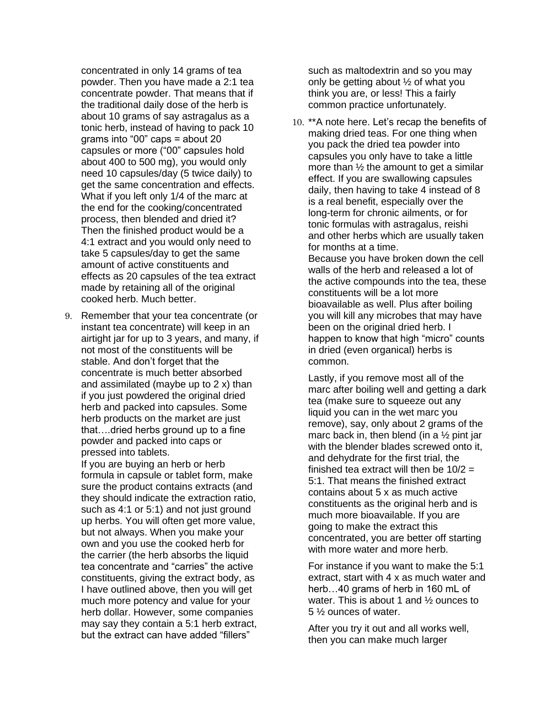concentrated in only 14 grams of tea powder. Then you have made a 2:1 tea concentrate powder. That means that if the traditional daily dose of the herb is about 10 grams of say astragalus as a tonic herb, instead of having to pack 10 grams into "00" caps = about 20 capsules or more ("00" capsules hold about 400 to 500 mg), you would only need 10 capsules/day (5 twice daily) to get the same concentration and effects. What if you left only 1/4 of the marc at the end for the cooking/concentrated process, then blended and dried it? Then the finished product would be a 4:1 extract and you would only need to take 5 capsules/day to get the same amount of active constituents and effects as 20 capsules of the tea extract made by retaining all of the original cooked herb. Much better.

9. Remember that your tea concentrate (or instant tea concentrate) will keep in an airtight jar for up to 3 years, and many, if not most of the constituents will be stable. And don't forget that the concentrate is much better absorbed and assimilated (maybe up to 2 x) than if you just powdered the original dried herb and packed into capsules. Some herb products on the market are just that….dried herbs ground up to a fine powder and packed into caps or pressed into tablets.

If you are buying an herb or herb formula in capsule or tablet form, make sure the product contains extracts (and they should indicate the extraction ratio, such as 4:1 or 5:1) and not just ground up herbs. You will often get more value, but not always. When you make your own and you use the cooked herb for the carrier (the herb absorbs the liquid tea concentrate and "carries" the active constituents, giving the extract body, as I have outlined above, then you will get much more potency and value for your herb dollar. However, some companies may say they contain a 5:1 herb extract, but the extract can have added "fillers"

such as maltodextrin and so you may only be getting about ½ of what you think you are, or less! This a fairly common practice unfortunately.

10. \*\*A note here. Let's recap the benefits of making dried teas. For one thing when you pack the dried tea powder into capsules you only have to take a little more than  $\frac{1}{2}$  the amount to get a similar effect. If you are swallowing capsules daily, then having to take 4 instead of 8 is a real benefit, especially over the long-term for chronic ailments, or for tonic formulas with astragalus, reishi and other herbs which are usually taken for months at a time.

Because you have broken down the cell walls of the herb and released a lot of the active compounds into the tea, these constituents will be a lot more bioavailable as well. Plus after boiling you will kill any microbes that may have been on the original dried herb. I happen to know that high "micro" counts in dried (even organical) herbs is common.

Lastly, if you remove most all of the marc after boiling well and getting a dark tea (make sure to squeeze out any liquid you can in the wet marc you remove), say, only about 2 grams of the marc back in, then blend (in a  $\frac{1}{2}$  pint jar with the blender blades screwed onto it, and dehydrate for the first trial, the finished tea extract will then be  $10/2 =$ 5:1. That means the finished extract contains about 5 x as much active constituents as the original herb and is much more bioavailable. If you are going to make the extract this concentrated, you are better off starting with more water and more herb.

For instance if you want to make the 5:1 extract, start with 4 x as much water and herb...40 grams of herb in 160 mL of water. This is about 1 and ½ ounces to 5 ½ ounces of water.

After you try it out and all works well, then you can make much larger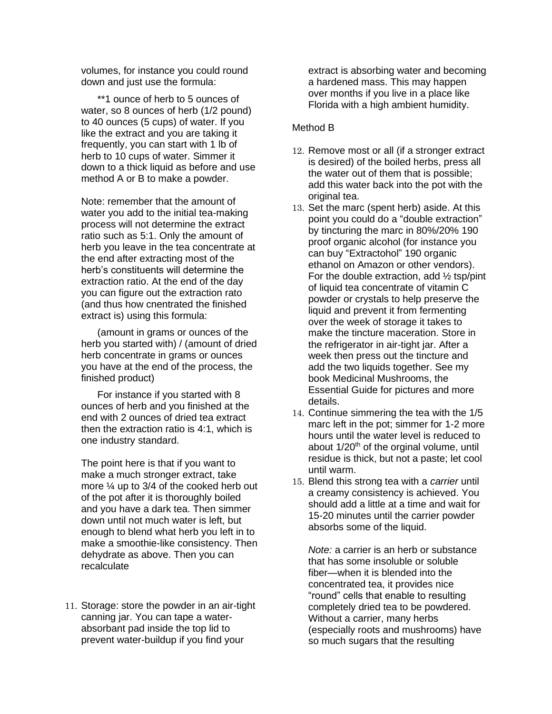volumes, for instance you could round down and just use the formula:

\*\*1 ounce of herb to 5 ounces of water, so 8 ounces of herb (1/2 pound) to 40 ounces (5 cups) of water. If you like the extract and you are taking it frequently, you can start with 1 lb of herb to 10 cups of water. Simmer it down to a thick liquid as before and use method A or B to make a powder.

Note: remember that the amount of water you add to the initial tea-making process will not determine the extract ratio such as 5:1. Only the amount of herb you leave in the tea concentrate at the end after extracting most of the herb's constituents will determine the extraction ratio. At the end of the day you can figure out the extraction rato (and thus how cnentrated the finished extract is) using this formula:

(amount in grams or ounces of the herb you started with) / (amount of dried herb concentrate in grams or ounces you have at the end of the process, the finished product)

For instance if you started with 8 ounces of herb and you finished at the end with 2 ounces of dried tea extract then the extraction ratio is 4:1, which is one industry standard.

The point here is that if you want to make a much stronger extract, take more ¼ up to 3/4 of the cooked herb out of the pot after it is thoroughly boiled and you have a dark tea. Then simmer down until not much water is left, but enough to blend what herb you left in to make a smoothie-like consistency. Then dehydrate as above. Then you can recalculate

11. Storage: store the powder in an air-tight canning jar. You can tape a waterabsorbant pad inside the top lid to prevent water-buildup if you find your

extract is absorbing water and becoming a hardened mass. This may happen over months if you live in a place like Florida with a high ambient humidity.

#### Method B

- 12. Remove most or all (if a stronger extract is desired) of the boiled herbs, press all the water out of them that is possible; add this water back into the pot with the original tea.
- 13. Set the marc (spent herb) aside. At this point you could do a "double extraction" by tincturing the marc in 80%/20% 190 proof organic alcohol (for instance you can buy "Extractohol" 190 organic ethanol on Amazon or other vendors). For the double extraction, add  $\frac{1}{2}$  tsp/pint of liquid tea concentrate of vitamin C powder or crystals to help preserve the liquid and prevent it from fermenting over the week of storage it takes to make the tincture maceration. Store in the refrigerator in air-tight jar. After a week then press out the tincture and add the two liquids together. See my book Medicinal Mushrooms, the Essential Guide for pictures and more details.
- 14. Continue simmering the tea with the 1/5 marc left in the pot; simmer for 1-2 more hours until the water level is reduced to about  $1/20<sup>th</sup>$  of the orginal volume, until residue is thick, but not a paste; let cool until warm.
- 15. Blend this strong tea with a *carrier* until a creamy consistency is achieved. You should add a little at a time and wait for 15-20 minutes until the carrier powder absorbs some of the liquid.

*Note:* a carrier is an herb or substance that has some insoluble or soluble fiber—when it is blended into the concentrated tea, it provides nice "round" cells that enable to resulting completely dried tea to be powdered. Without a carrier, many herbs (especially roots and mushrooms) have so much sugars that the resulting